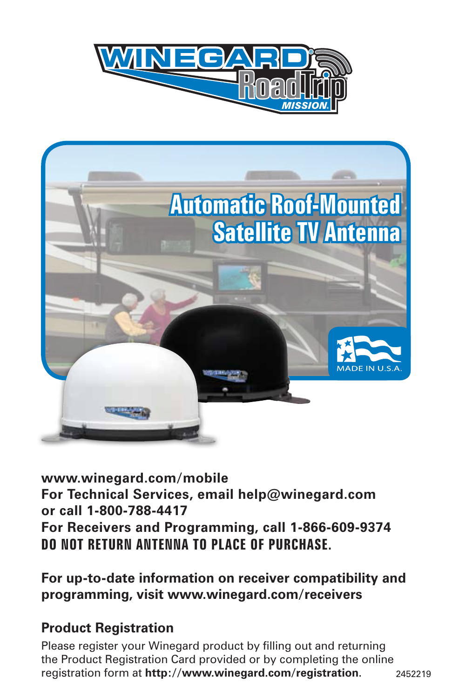



**www.winegard.com/mobile For Technical Services, email help@winegard.com or call 1-800-788-4417 For Receivers and Programming, call 1-866-609-9374 DO NOT RETURN ANTENNA TO PLACE OF PURCHASE.**

**For up-to-date information on receiver compatibility and programming, visit www.winegard.com/receivers**

#### **Product Registration**

Please register your Winegard product by filling out and returning the Product Registration Card provided or by completing the online registration form at **http://www.winegard.com/registration**. 2452219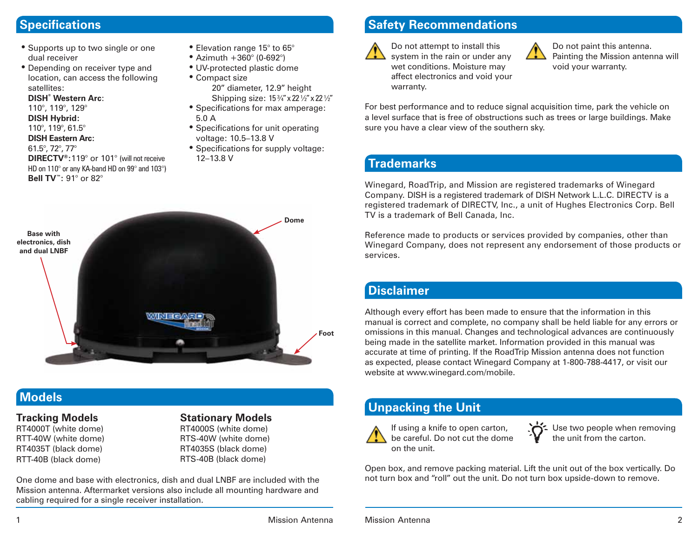## **Specifications**

- Supports up to two single or one dual receiver
- Depending on receiver type and location, can access the following satellites:

#### **DISH® Western Arc**:

110°, 119°, 129°

#### **DISH Hybrid:**

110°, 119°, 61.5°

#### **DISH Eastern Arc:**

61.5°, 72°, 77° **DIRECTV®:**119° or 101° (will not receive HD on 110° or any KA-band HD on 99° and 103°) **Bell TV™:** 91° or 82°

- Elevation range 15° to 65°
- Azimuth  $+360^{\circ}$  (0-692°)
- • UV-protected plastic dome
- Compact size 20" diameter, 12.9" height Shipping size: 15 ¾" x 22 ½" x 22 ½"
- • Specifications for max amperage: 5.0 A
- Specifications for unit operating voltage: 10.5–13.8 V
- Specifications for supply voltage: 12–13.8 V



## **Models**

#### **Tracking Models**

RT4000T (white dome) RTT-40W (white dome) RT4035T (black dome) RTT-40B (black dome)

#### **Stationary Models**

RT4000S (white dome) RTS-40W (white dome) RT4035S (black dome) RTS-40B (black dome)

One dome and base with electronics, dish and dual LNBF are included with the Mission antenna. Aftermarket versions also include all mounting hardware and cabling required for a single receiver installation.

#### **Safety Recommendations**



Do not attempt to install this system in the rain or under any wet conditions. Moisture may affect electronics and void your warranty.



Do not paint this antenna. Painting the Mission antenna will void your warranty.

For best performance and to reduce signal acquisition time, park the vehicle on a level surface that is free of obstructions such as trees or large buildings. Make sure you have a clear view of the southern sky.

# **Trademarks**

Winegard, RoadTrip, and Mission are registered trademarks of Winegard Company. DISH is a registered trademark of DISH Network L.L.C. DIRECTV is a registered trademark of DIRECTV, Inc., a unit of Hughes Electronics Corp. Bell TV is a trademark of Bell Canada, Inc.

Reference made to products or services provided by companies, other than Winegard Company, does not represent any endorsement of those products or services.

## **Disclaimer**

Although every effort has been made to ensure that the information in this manual is correct and complete, no company shall be held liable for any errors or omissions in this manual. Changes and technological advances are continuously being made in the satellite market. Information provided in this manual was accurate at time of printing. If the RoadTrip Mission antenna does not function as expected, please contact Winegard Company at 1-800-788-4417, or visit our website at www.winegard.com/mobile.

# **Unpacking the Unit**



If using a knife to open carton, be careful. Do not cut the dome on the unit.



 $\leq$  Use two people when removing the unit from the carton.

Open box, and remove packing material. Lift the unit out of the box vertically. Do not turn box and "roll" out the unit. Do not turn box upside-down to remove.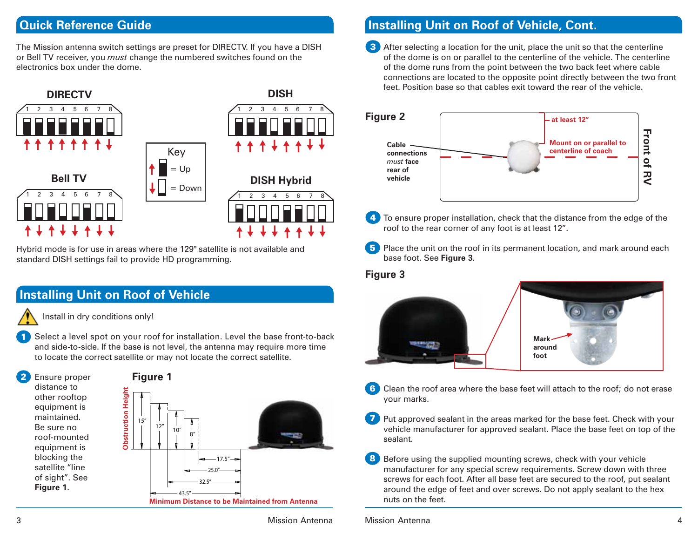## **Quick Reference Guide**

The Mission antenna switch settings are preset for DIRECTV. If you have a DISH or Bell TV receiver, you *must* change the numbered switches found on the electronics box under the dome.



Hybrid mode is for use in areas where the 129**°** satellite is not available and standard DISH settings fail to provide HD programming.

# **Installing Unit on Roof of Vehicle**



- Select a level spot on your roof for installation. Level the base front-to-back and side-to-side. If the base is not level, the antenna may require more time to locate the correct satellite or may not locate the correct satellite. 1
- Ensure proper distance to other rooftop equipment is maintained. Be sure no roof-mounted equipment is blocking the satellite "line of sight". See **Figure 1**. 2



# **Installing Unit on Roof of Vehicle, Cont.**

**3** After selecting a location for the unit, place the unit so that the centerline of the dome is on or parallel to the centerline of the vehicle. The centerline of the dome runs from the point between the two back feet where cable connections are located to the opposite point directly between the two front feet. Position base so that cables exit toward the rear of the vehicle.



- To ensure proper installation, check that the distance from the edge of the roof to the rear corner of any foot is at least 12". 4
- 5 Place the unit on the roof in its permanent location, and mark around each base foot. See **Figure 3**.

#### **Figure 3**



- 6 Clean the roof area where the base feet will attach to the roof; do not erase your marks.
- 7 Put approved sealant in the areas marked for the base feet. Check with your vehicle manufacturer for approved sealant. Place the base feet on top of the sealant.
- 8 Before using the supplied mounting screws, check with your vehicle manufacturer for any special screw requirements. Screw down with three screws for each foot. After all base feet are secured to the roof, put sealant around the edge of feet and over screws. Do not apply sealant to the hex nuts on the feet.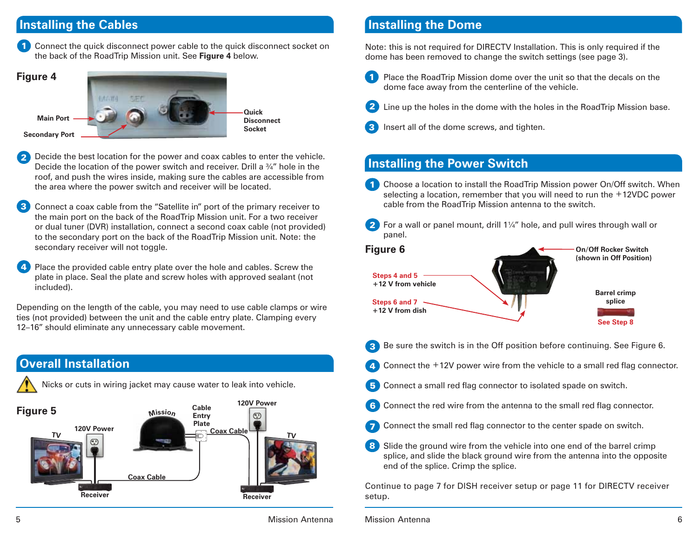## **Installing the Cables**

Connect the quick disconnect power cable to the quick disconnect socket on the back of the RoadTrip Mission unit. See **Figure 4** below. 1

#### **Figure 4**



**Quick Disconnect Socket**

**Main Port**

**Secondary Port**

- Decide the best location for the power and coax cables to enter the vehicle. Decide the location of the power switch and receiver. Drill a 34" hole in the roof, and push the wires inside, making sure the cables are accessible from the area where the power switch and receiver will be located. 2
- Connect a coax cable from the "Satellite in" port of the primary receiver to the main port on the back of the RoadTrip Mission unit. For a two receiver or dual tuner (DVR) installation, connect a second coax cable (not provided) to the secondary port on the back of the RoadTrip Mission unit. Note: the secondary receiver will not toggle. 3
- Place the provided cable entry plate over the hole and cables. Screw the plate in place. Seal the plate and screw holes with approved sealant (not included). 4

Depending on the length of the cable, you may need to use cable clamps or wire ties (not provided) between the unit and the cable entry plate. Clamping every 12–16" should eliminate any unnecessary cable movement.

# **Overall Installation**



Nicks or cuts in wiring jacket may cause water to leak into vehicle.



## **Installing the Dome**

Note: this is not required for DIRECTV Installation. This is only required if the dome has been removed to change the switch settings (see page 3).



Place the RoadTrip Mission dome over the unit so that the decals on the dome face away from the centerline of the vehicle.



- Line up the holes in the dome with the holes in the RoadTrip Mission base.
- Insert all of the dome screws, and tighten. 3

## **Installing the Power Switch**

- Choose a location to install the RoadTrip Mission power On/Off switch. When selecting a location, remember that you will need to run the +12VDC power cable from the RoadTrip Mission antenna to the switch. 1
	-

**2** For a wall or panel mount, drill  $1\frac{1}{4}$  hole, and pull wires through wall or panel.



- Be sure the switch is in the Off position before continuing. See Figure 6. 3
- Connect the +12V power wire from the vehicle to a small red flag connector. 4
- Connect a small red flag connector to isolated spade on switch. 5
- Connect the red wire from the antenna to the small red flag connector. 6
- Connect the small red flag connector to the center spade on switch. 7
- 8 Slide the ground wire from the vehicle into one end of the barrel crimp splice, and slide the black ground wire from the antenna into the opposite end of the splice. Crimp the splice.

Continue to page 7 for DISH receiver setup or page 11 for DIRECTV receiver setup.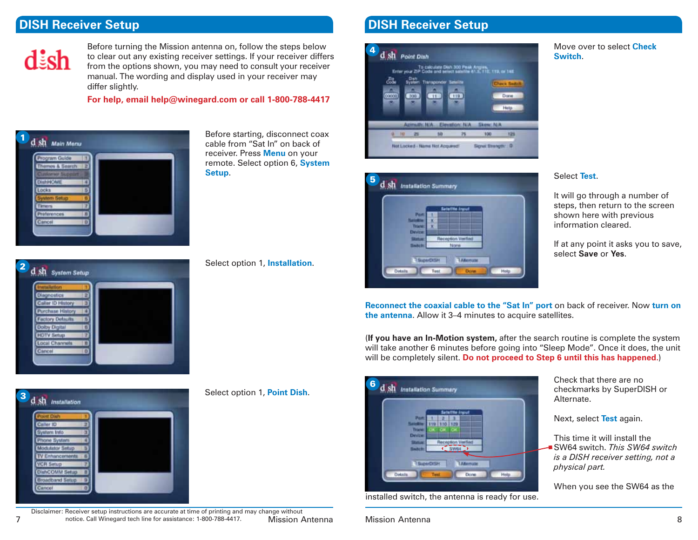# **DISH Receiver Setup**



Before turning the Mission antenna on, follow the steps below to clear out any existing receiver settings. If your receiver differs from the options shown, you may need to consult your receiver manual. The wording and display used in your receiver may differ slightly.

**For help, email help@winegard.com or call 1-800-788-4417**

**Setup**.



2 d sh System Setup Caller ID History Ð Purchase History | 4 **Factory Detaults 16 Dolby Digita** Ю **HDTV Setup** 的 **Local Channels** Ю Cancel Ю

Select option 1, **Installation**.

Before starting, disconnect coax cable from "Sat In" on back of receiver. Press **Menu** on your remote. Select option 6, **System** 

# **DISH Receiver Setup**





Select **Test**.

**Switch**.

It will go through a number of steps, then return to the screen shown here with previous information cleared.

Move over to select **Check** 

If at any point it asks you to save, select **Save** or **Yes**.

**Reconnect the coaxial cable to the "Sat In" port** on back of receiver. Now **turn on the antenna**. Allow it 3–4 minutes to acquire satellites.

(**If you have an In-Motion system,** after the search routine is complete the system will take another 6 minutes before going into "Sleep Mode". Once it does, the unit will be completely silent. **Do not proceed to Step 6 until this has happened.**)



Select option 1, **Point Dish**.



installed switch, the antenna is ready for use.

Check that there are no checkmarks by SuperDISH or Alternate.

Next, select **Test** again.

This time it will install the SW64 switch. *This SW64 switch is a DISH receiver setting, not a physical part.*

When you see the SW64 as the

7 Mission Antenna notice. Call Winegard tech line for assistance: 1-800-788-4417. Disclaimer: Receiver setup instructions are accurate at time of printing and may change without<br>notice. Call Winegard tech line for assistance: 1-800-788-4417. Mission Antenna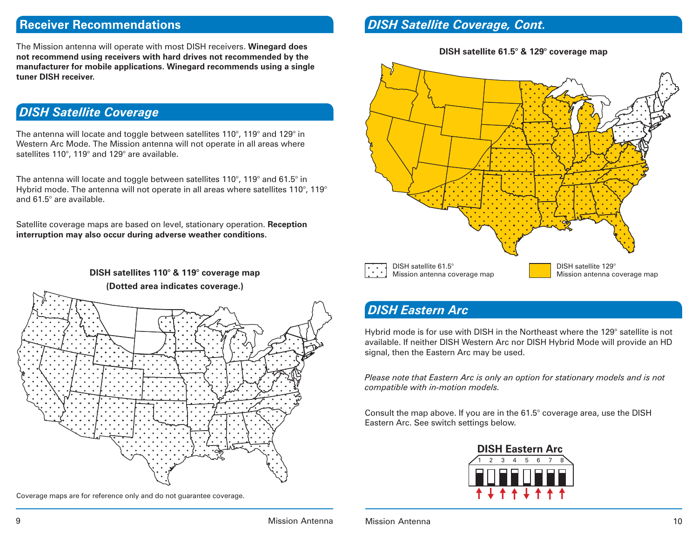## **Receiver Recommendations**

The Mission antenna will operate with most DISH receivers. **Winegard does not recommend using receivers with hard drives not recommended by the manufacturer for mobile applications. Winegard recommends using a single tuner DISH receiver.**

# *DISH Satellite Coverage*

The antenna will locate and toggle between satellites 110°, 119° and 129° in Western Arc Mode. The Mission antenna will not operate in all areas where satellites 110°, 119° and 129° are available.

The antenna will locate and toggle between satellites 110°, 119° and 61.5° in Hybrid mode. The antenna will not operate in all areas where satellites 110°, 119° and 61.5° are available.

Satellite coverage maps are based on level, stationary operation. **Reception interruption may also occur during adverse weather conditions.**

# **DISH satellites 110° & 119° coverage map (Dotted area indicates coverage.)**

Coverage maps are for reference only and do not guarantee coverage.

## *DISH Satellite Coverage, Cont.*





#### *DISH Eastern Arc*

Hybrid mode is for use with DISH in the Northeast where the 129° satellite is not available. If neither DISH Western Arc nor DISH Hybrid Mode will provide an HD signal, then the Eastern Arc may be used.

*Please note that Eastern Arc is only an option for stationary models and is not compatible with in-motion models.*

Consult the map above. If you are in the 61.5° coverage area, use the DISH Eastern Arc. See switch settings below.

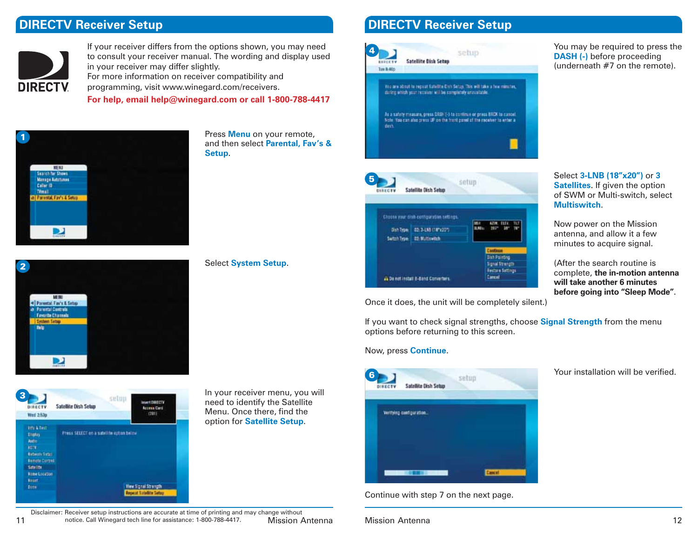## **DIRECTV Receiver Setup**



If your receiver differs from the options shown, you may need to consult your receiver manual. The wording and display used in your receiver may differ slightly. For more information on receiver compatibility and

programming, visit www.winegard.com/receivers.

**For help, email help@winegard.com or call 1-800-788-4417**

**Setup**.

Press **Menu** on your remote, and then select **Parental, Fav's &**

Select **System Setup**.



2 断限 < | Parental, Fav's & Setup a Parental Controls **Favorite Channel** נפ



In your receiver menu, you will need to identify the Satellite Menu. Once there, find the option for **Satellite Setup**.



You may be required to press the **DASH (-)** before proceeding (underneath #7 on the remote).



Once it does, the unit will be completely silent.)

If you want to check signal strengths, choose **Signal Strength** from the menu options before returning to this screen.

#### Now, press **Continue**.



Continue with step 7 on the next page.

#### Select **3-LNB (18"x20")** or **3 Satellites**. If given the option of SWM or Multi-switch, select **Multiswitch**.

Now power on the Mission antenna, and allow it a few minutes to acquire signal.

(After the search routine is complete, **the in-motion antenna will take another 6 minutes before going into "Sleep Mode"**.

Your installation will be verified.

Disclaimer: Receiver setup instructions are accurate at time of printing and may change without 11 motice. Call Winegard tech line for assistance: 1-800-788-4417. Mission Antenna Mission Antenna 12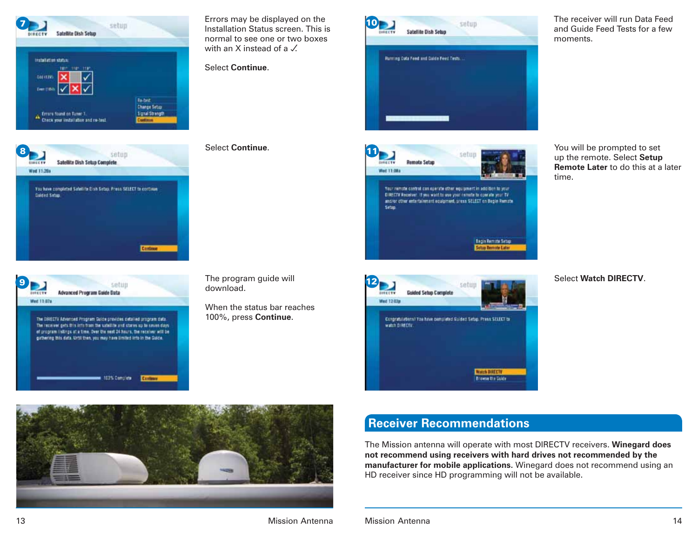

101% Complete

**Continue** 

Installation Status screen. This is normal to see one or two boxes with an X instead of a  $\angle$ .

#### Select **Continue**.



The receiver will run Data Feed and Guide Feed Tests for a few moments.



 $5.07111$ 

**Browse the Guide** 

**Guided Setup Complete** 

Congratulations? You have completed Suided Setup. Press SELECT to

You will be prompted to set up the remote. Select **Setup Remote Later** to do this at a later time.

#### Select **Watch DIRECTV**.

The program guide will download.

When the status bar reaches 100%, press **Continue**.



#### **Receiver Recommendations**

The Mission antenna will operate with most DIRECTV receivers. **Winegard does not recommend using receivers with hard drives not recommended by the manufacturer for mobile applications.** Winegard does not recommend using an HD receiver since HD programming will not be available.

#### 13 Mission Antenna

12

Wed 12-03p

watch DIRECTV.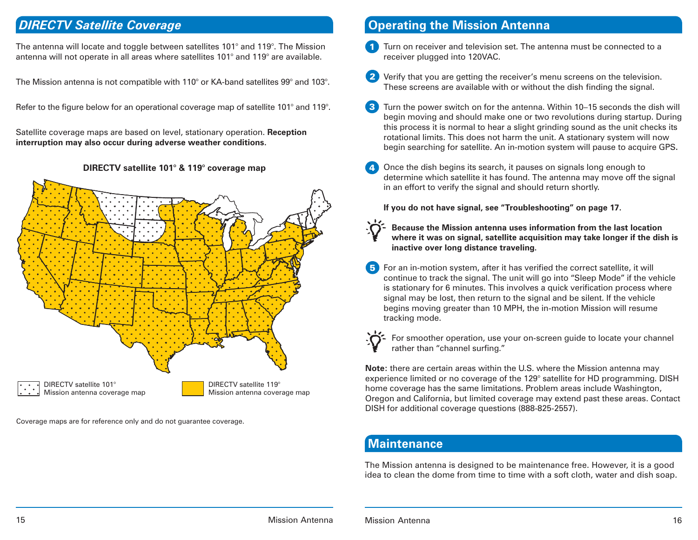## *DIRECTV Satellite Coverage*

The antenna will locate and toggle between satellites 101° and 119°. The Mission antenna will not operate in all areas where satellites 101° and 119° are available.

The Mission antenna is not compatible with 110° or KA-band satellites 99° and 103°.

Refer to the figure below for an operational coverage map of satellite 101° and 119°.

Satellite coverage maps are based on level, stationary operation. **Reception interruption may also occur during adverse weather conditions.**

**DIRECTV satellite 101° & 119° coverage map**



Coverage maps are for reference only and do not guarantee coverage.

## **Operating the Mission Antenna**

- Turn on receiver and television set. The antenna must be connected to a receiver plugged into 120VAC. 1
- Verify that you are getting the receiver's menu screens on the television. These screens are available with or without the dish finding the signal. 2
- Turn the power switch on for the antenna. Within 10–15 seconds the dish will begin moving and should make one or two revolutions during startup. During this process it is normal to hear a slight grinding sound as the unit checks its rotational limits. This does not harm the unit. A stationary system will now begin searching for satellite. An in-motion system will pause to acquire GPS**.** 3
- Once the dish begins its search, it pauses on signals long enough to determine which satellite it has found. The antenna may move off the signal in an effort to verify the signal and should return shortly. 4

**If you do not have signal, see "Troubleshooting" on page 17.** 

- **Because the Mission antenna uses information from the last location where it was on signal, satellite acquisition may take longer if the dish is inactive over long distance traveling.**
- 5 For an in-motion system, after it has verified the correct satellite, it will continue to track the signal. The unit will go into "Sleep Mode" if the vehicle is stationary for 6 minutes. This involves a quick verification process where signal may be lost, then return to the signal and be silent. If the vehicle begins moving greater than 10 MPH, the in-motion Mission will resume tracking mode.
- 

For smoother operation, use your on-screen guide to locate your channel rather than "channel surfing."

**Note:** there are certain areas within the U.S. where the Mission antenna may experience limited or no coverage of the 129° satellite for HD programming. DISH home coverage has the same limitations. Problem areas include Washington, Oregon and California, but limited coverage may extend past these areas. Contact DISH for additional coverage questions (888-825-2557).

#### **Maintenance**

The Mission antenna is designed to be maintenance free. However, it is a good idea to clean the dome from time to time with a soft cloth, water and dish soap.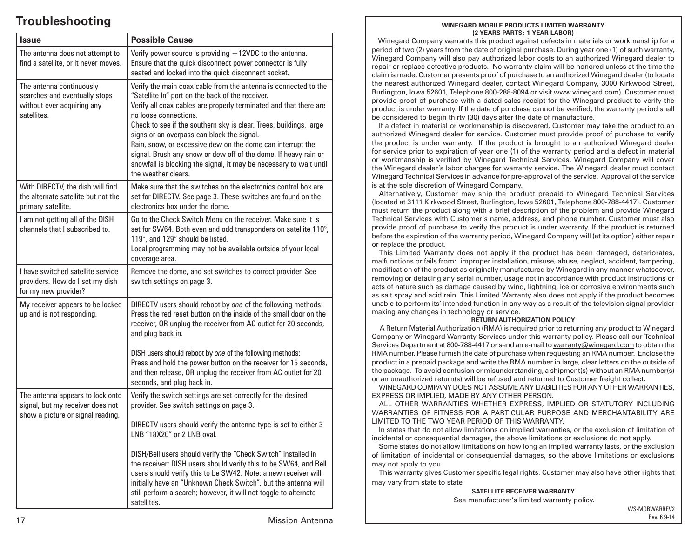# **Troubleshooting**

| <b>Issue</b>                                                                                              | <b>Possible Cause</b>                                                                                                                                                                                                                                                                                                                                                                                                                                                                                                                                               |
|-----------------------------------------------------------------------------------------------------------|---------------------------------------------------------------------------------------------------------------------------------------------------------------------------------------------------------------------------------------------------------------------------------------------------------------------------------------------------------------------------------------------------------------------------------------------------------------------------------------------------------------------------------------------------------------------|
| The antenna does not attempt to<br>find a satellite, or it never moves.                                   | Verify power source is providing $+12$ VDC to the antenna.<br>Ensure that the quick disconnect power connector is fully<br>seated and locked into the quick disconnect socket.                                                                                                                                                                                                                                                                                                                                                                                      |
| The antenna continuously<br>searches and eventually stops<br>without ever acquiring any<br>satellites.    | Verify the main coax cable from the antenna is connected to the<br>"Satellite In" port on the back of the receiver.<br>Verify all coax cables are properly terminated and that there are<br>no loose connections.<br>Check to see if the southern sky is clear. Trees, buildings, large<br>signs or an overpass can block the signal.<br>Rain, snow, or excessive dew on the dome can interrupt the<br>signal. Brush any snow or dew off of the dome. If heavy rain or<br>snowfall is blocking the signal, it may be necessary to wait until<br>the weather clears. |
| With DIRECTV, the dish will find<br>the alternate satellite but not the<br>primary satellite.             | Make sure that the switches on the electronics control box are<br>set for DIRECTV. See page 3. These switches are found on the<br>electronics box under the dome.                                                                                                                                                                                                                                                                                                                                                                                                   |
| I am not getting all of the DISH<br>channels that I subscribed to.                                        | Go to the Check Switch Menu on the receiver. Make sure it is<br>set for SW64. Both even and odd transponders on satellite 110°,<br>119°, and 129° should be listed.<br>Local programming may not be available outside of your local<br>coverage area.                                                                                                                                                                                                                                                                                                               |
| I have switched satellite service<br>providers. How do I set my dish<br>for my new provider?              | Remove the dome, and set switches to correct provider. See<br>switch settings on page 3.                                                                                                                                                                                                                                                                                                                                                                                                                                                                            |
| My receiver appears to be locked<br>up and is not responding.                                             | DIRECTV users should reboot by one of the following methods:<br>Press the red reset button on the inside of the small door on the<br>receiver, OR unplug the receiver from AC outlet for 20 seconds,<br>and plug back in.                                                                                                                                                                                                                                                                                                                                           |
|                                                                                                           | DISH users should reboot by one of the following methods:<br>Press and hold the power button on the receiver for 15 seconds,<br>and then release, OR unplug the receiver from AC outlet for 20<br>seconds, and plug back in.                                                                                                                                                                                                                                                                                                                                        |
| The antenna appears to lock onto<br>signal, but my receiver does not<br>show a picture or signal reading. | Verify the switch settings are set correctly for the desired<br>provider. See switch settings on page 3.                                                                                                                                                                                                                                                                                                                                                                                                                                                            |
|                                                                                                           | DIRECTV users should verify the antenna type is set to either 3<br>LNB "18X20" or 2 LNB oval.                                                                                                                                                                                                                                                                                                                                                                                                                                                                       |
|                                                                                                           | DISH/Bell users should verify the "Check Switch" installed in<br>the receiver; DISH users should verify this to be SW64, and Bell<br>users should verify this to be SW42. Note: a new receiver will<br>initially have an "Unknown Check Switch", but the antenna will<br>still perform a search; however, it will not toggle to alternate<br>satellites.                                                                                                                                                                                                            |

#### **WINEGARD MOBILE PRODUCTS LIMITED WARRANTY (2 YEARS PARTS; 1 YEAR LABOR)**

Winegard Company warrants this product against defects in materials or workmanship for a period of two (2) years from the date of original purchase. During year one (1) of such warranty, Winegard Company will also pay authorized labor costs to an authorized Winegard dealer to repair or replace defective products. No warranty claim will be honored unless at the time the claim is made, Customer presents proof of purchase to an authorized Winegard dealer (to locate the nearest authorized Winegard dealer, contact Winegard Company, 3000 Kirkwood Street, Burlington, Iowa 52601, Telephone 800-288-8094 or visit www.winegard.com). Customer must provide proof of purchase with a dated sales receipt for the Winegard product to verify the product is under warranty. If the date of purchase cannot be verified, the warranty period shall be considered to begin thirty (30) days after the date of manufacture.

If a defect in material or workmanship is discovered, Customer may take the product to an authorized Winegard dealer for service. Customer must provide proof of purchase to verify the product is under warranty. If the product is brought to an authorized Winegard dealer for service prior to expiration of year one (1) of the warranty period and a defect in material or workmanship is verified by Winegard Technical Services, Winegard Company will cover the Winegard dealer's labor charges for warranty service. The Winegard dealer must contact Winegard Technical Services in advance for pre-approval of the service. Approval of the service is at the sole discretion of Winegard Company.

Alternatively, Customer may ship the product prepaid to Winegard Technical Services (located at 3111 Kirkwood Street, Burlington, Iowa 52601, Telephone 800-788-4417). Customer must return the product along with a brief description of the problem and provide Winegard Technical Services with Customer's name, address, and phone number. Customer must also provide proof of purchase to verify the product is under warranty. If the product is returned before the expiration of the warranty period, Winegard Company will (at its option) either repair or replace the product.

This Limited Warranty does not apply if the product has been damaged, deteriorates, malfunctions or fails from: improper installation, misuse, abuse, neglect, accident, tampering, modification of the product as originally manufactured by Winegard in any manner whatsoever, removing or defacing any serial number, usage not in accordance with product instructions or acts of nature such as damage caused by wind, lightning, ice or corrosive environments such as salt spray and acid rain. This Limited Warranty also does not apply if the product becomes unable to perform its' intended function in any way as a result of the television signal provider making any changes in technology or service.

#### **RETURN AUTHORIZATION POLICY**

 A Return Material Authorization (RMA) is required prior to returning any product to Winegard Company or Winegard Warranty Services under this warranty policy. Please call our Technical Services Department at 800-788-4417 or send an e-mail to warranty@winegard.com to obtain the RMA number. Please furnish the date of purchase when requesting an RMA number. Enclose the product in a prepaid package and write the RMA number in large, clear letters on the outside of the package. To avoid confusion or misunderstanding, a shipment(s) without an RMA number(s) or an unauthorized return(s) will be refused and returned to Customer freight collect.

WINEGARD COMPANY DOES NOT ASSUME ANY LIABILITIES FOR ANY OTHER WARRANTIES, EXPRESS OR IMPLIED, MADE BY ANY OTHER PERSON.

ALL OTHER WARRANTIES WHETHER EXPRESS, IMPLIED OR STATUTORY INCLUDING WARRANTIES OF FITNESS FOR A PARTICULAR PURPOSE AND MERCHANTABILITY ARE LIMITED TO THE TWO YEAR PERIOD OF THIS WARRANTY.

In states that do not allow limitations on implied warranties, or the exclusion of limitation of incidental or consequential damages, the above limitations or exclusions do not apply.

Some states do not allow limitations on how long an implied warranty lasts, or the exclusion of limitation of incidental or consequential damages, so the above limitations or exclusions may not apply to you.

This warranty gives Customer specific legal rights. Customer may also have other rights that may vary from state to state

> **SATELLITE RECEIVER WARRANTY** See manufacturer's limited warranty policy.

> > WS-MOBWARREV2 Rev. 6 9-14